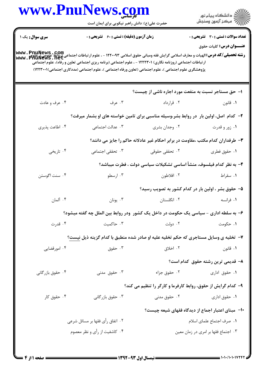| www.PnuNews.com  |                                                     |                                                                                                                                                                                                                                                                                                                                                                                                                                                                                                                                                                                                                                                                                                                                                                                                                                                                                                                                                                                                                                                                                                       |  |  |
|------------------|-----------------------------------------------------|-------------------------------------------------------------------------------------------------------------------------------------------------------------------------------------------------------------------------------------------------------------------------------------------------------------------------------------------------------------------------------------------------------------------------------------------------------------------------------------------------------------------------------------------------------------------------------------------------------------------------------------------------------------------------------------------------------------------------------------------------------------------------------------------------------------------------------------------------------------------------------------------------------------------------------------------------------------------------------------------------------------------------------------------------------------------------------------------------------|--|--|
|                  |                                                     | الارد دانشگاه پيام نور<br>۱۳۱۷ مرکز آزمون وسنجش                                                                                                                                                                                                                                                                                                                                                                                                                                                                                                                                                                                                                                                                                                                                                                                                                                                                                                                                                                                                                                                       |  |  |
|                  |                                                     | <b>تعداد سوالات : تستي : 30 ٪ تشريحي : 0</b>                                                                                                                                                                                                                                                                                                                                                                                                                                                                                                                                                                                                                                                                                                                                                                                                                                                                                                                                                                                                                                                          |  |  |
|                  |                                                     | <b>عنـــوان درس:</b> کلیات حقوق                                                                                                                                                                                                                                                                                                                                                                                                                                                                                                                                                                                                                                                                                                                                                                                                                                                                                                                                                                                                                                                                       |  |  |
|                  |                                                     |                                                                                                                                                                                                                                                                                                                                                                                                                                                                                                                                                                                                                                                                                                                                                                                                                                                                                                                                                                                                                                                                                                       |  |  |
|                  |                                                     |                                                                                                                                                                                                                                                                                                                                                                                                                                                                                                                                                                                                                                                                                                                                                                                                                                                                                                                                                                                                                                                                                                       |  |  |
|                  |                                                     |                                                                                                                                                                                                                                                                                                                                                                                                                                                                                                                                                                                                                                                                                                                                                                                                                                                                                                                                                                                                                                                                                                       |  |  |
|                  |                                                     | ۱- حق مستاجر نسبت به منفعت مورد اجاره ناشی از چیست؟                                                                                                                                                                                                                                                                                                                                                                                                                                                                                                                                                                                                                                                                                                                                                                                                                                                                                                                                                                                                                                                   |  |  |
| ۰۳ عرف           | ۰۲ قرارداد                                          | ۰۱ قانون                                                                                                                                                                                                                                                                                                                                                                                                                                                                                                                                                                                                                                                                                                                                                                                                                                                                                                                                                                                                                                                                                              |  |  |
|                  |                                                     |                                                                                                                                                                                                                                                                                                                                                                                                                                                                                                                                                                                                                                                                                                                                                                                                                                                                                                                                                                                                                                                                                                       |  |  |
| ۰۳ عدالت اجتماعی | ۰۲ وجدان بشري                                       | ۰۱ زور و قدرت                                                                                                                                                                                                                                                                                                                                                                                                                                                                                                                                                                                                                                                                                                                                                                                                                                                                                                                                                                                                                                                                                         |  |  |
|                  |                                                     |                                                                                                                                                                                                                                                                                                                                                                                                                                                                                                                                                                                                                                                                                                                                                                                                                                                                                                                                                                                                                                                                                                       |  |  |
| ۰۳ تحققی اجتماعی | ۰۲ تحققی حقوقی                                      | ۰۱ حقوق فطری                                                                                                                                                                                                                                                                                                                                                                                                                                                                                                                                                                                                                                                                                                                                                                                                                                                                                                                                                                                                                                                                                          |  |  |
|                  |                                                     |                                                                                                                                                                                                                                                                                                                                                                                                                                                                                                                                                                                                                                                                                                                                                                                                                                                                                                                                                                                                                                                                                                       |  |  |
| ۰۳ ارسطو         | ۰۲ افلاطون                                          | ٠١ سقراط                                                                                                                                                                                                                                                                                                                                                                                                                                                                                                                                                                                                                                                                                                                                                                                                                                                                                                                                                                                                                                                                                              |  |  |
|                  |                                                     | ۵– حقوق بشر ، اولین بار در کدام کشور به تصویب رسید؟                                                                                                                                                                                                                                                                                                                                                                                                                                                                                                                                                                                                                                                                                                                                                                                                                                                                                                                                                                                                                                                   |  |  |
| ۰۳ یونان $\cdot$ | ۰۲ انگلستان                                         | ۰۱ فرانسه                                                                                                                                                                                                                                                                                                                                                                                                                                                                                                                                                                                                                                                                                                                                                                                                                                                                                                                                                                                                                                                                                             |  |  |
|                  |                                                     |                                                                                                                                                                                                                                                                                                                                                                                                                                                                                                                                                                                                                                                                                                                                                                                                                                                                                                                                                                                                                                                                                                       |  |  |
| ۰۳ حاکمیت        | ۰۲ دولت                                             | ۰۱ حکومت                                                                                                                                                                                                                                                                                                                                                                                                                                                                                                                                                                                                                                                                                                                                                                                                                                                                                                                                                                                                                                                                                              |  |  |
|                  |                                                     |                                                                                                                                                                                                                                                                                                                                                                                                                                                                                                                                                                                                                                                                                                                                                                                                                                                                                                                                                                                                                                                                                                       |  |  |
| ۰۳ حقوق          | ۰۲ اخلاق                                            | ۰۱ قانون                                                                                                                                                                                                                                                                                                                                                                                                                                                                                                                                                                                                                                                                                                                                                                                                                                                                                                                                                                                                                                                                                              |  |  |
|                  |                                                     | ۸– قدیمی ترین رشته حقوق کدام است؟                                                                                                                                                                                                                                                                                                                                                                                                                                                                                                                                                                                                                                                                                                                                                                                                                                                                                                                                                                                                                                                                     |  |  |
| ۰۳ حقوق مدنی     | ۰۲ حقوق جزاء                                        | ۰۱ حقوق اداری                                                                                                                                                                                                                                                                                                                                                                                                                                                                                                                                                                                                                                                                                                                                                                                                                                                                                                                                                                                                                                                                                         |  |  |
|                  |                                                     |                                                                                                                                                                                                                                                                                                                                                                                                                                                                                                                                                                                                                                                                                                                                                                                                                                                                                                                                                                                                                                                                                                       |  |  |
|                  |                                                     | ۰۱ حقوق اداری                                                                                                                                                                                                                                                                                                                                                                                                                                                                                                                                                                                                                                                                                                                                                                                                                                                                                                                                                                                                                                                                                         |  |  |
|                  |                                                     |                                                                                                                                                                                                                                                                                                                                                                                                                                                                                                                                                                                                                                                                                                                                                                                                                                                                                                                                                                                                                                                                                                       |  |  |
|                  |                                                     | ٠١ صرف اجتماع علماى اسلام                                                                                                                                                                                                                                                                                                                                                                                                                                                                                                                                                                                                                                                                                                                                                                                                                                                                                                                                                                                                                                                                             |  |  |
|                  |                                                     | ۰۳ اجتماع فقها بر امری در زمان معین                                                                                                                                                                                                                                                                                                                                                                                                                                                                                                                                                                                                                                                                                                                                                                                                                                                                                                                                                                                                                                                                   |  |  |
|                  | ۰۳ حقوق بازرگانی<br>۰۲ اتفاق رأى فقها بر مسائل شرعى | حضرت علی(ع): دانش راهبر نیکویی برای ایمان است<br>زمان آزمون (دقیقه) : تستی : 60 - تشریحی : 0<br><b>رشته تحصیلی/کد درس:</b> الهیات و معارف اسلامی گرایش فقه ومبانی حقوق اسلامی ۱۲۲۰۰۹۳ - ، علوم ارتباطات اجتماعی (روابط عمومی)، www . PnuNews<br> www . PnuNews . Net<br>ارتباطات اجتماعی (روزنامه نگاری) ۱۲۲۲۳۰۱ - ، علوم اجتماعی (برنامه ریزی اجتماعی تعاون و رفاه)، علوم اجتماعی<br>پژوهشگری علوم اجتماعی )، علوم اجتماعی (تعاون ورفاه اجتماعی )، علوم اجتماعی (مددکاری اجتماعی)۲۲۳۰۰۱)<br>۲- کدام اصل، اولین بار ً در روابط بشر،وسیله مناسبی برای تامین خواسته های او بشمار میرفت؟<br>۳– طرفداران کدام مکتب ،مقاومت در برابر احکام غیر عادلانه حاکم را جایز می دانند؟<br>۴– به نظر کدام فیلسوف، منشأ اساسی تشکیلات سیاسی دولت ، فطرت میباشد؟<br>۶– به سلطه اداری - سیاسی یک حکومت در داخل یک کشور ودر روابط بین الملل چه گفته میشود؟<br>۷- تخلیه ی وسایل مستاجری که حکم تخلیه علیه او صادر شده منطبق با کدام گزینه ذیل نیست؟<br>۹- کدام گرایش از حقوق، روابط کارفرما و کارگر را تنظیم می کند؟<br>۰۲ حقوق مدنی<br>∙۱− مبنای اعتبار اجماع از دیدگاه فقهای شیعه چیست؟<br>۰۴ کاشفیت از رأی و نظر معصوم |  |  |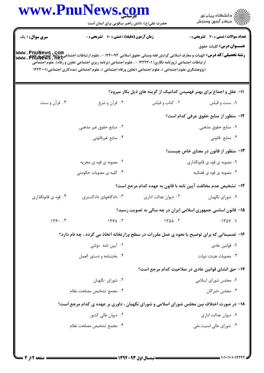|                        | www.PnuNews.com                                                                                                                                                                                                                                                                                                                                                                           |                      | ڪ دانشڪاه پيام نور<br>پ <sup>ر</sup> مرڪز آزمون وسنڊش                |
|------------------------|-------------------------------------------------------------------------------------------------------------------------------------------------------------------------------------------------------------------------------------------------------------------------------------------------------------------------------------------------------------------------------------------|----------------------|----------------------------------------------------------------------|
|                        | حضرت علی(ع): دانش راهبر نیکویی برای ایمان است                                                                                                                                                                                                                                                                                                                                             |                      |                                                                      |
| <b>سری سوال : ۱ یک</b> | <b>زمان آزمون (دقیقه) : تستی : 60 ٪ تشریحی : 0</b>                                                                                                                                                                                                                                                                                                                                        |                      | <b>تعداد سوالات : تستی : 30 ٪ تشریحی : 0</b>                         |
|                        | <b>رشته تحصیلی/کد درس:</b> الهیات و معارف اسلامی گرایش فقه ومبانی حقوق اسلامی ۱۲۲۰۰۹۳ - ، علوم ارتباطات اجتماعی(روابط عمومی): www . PnuNews<br> www . PhuNews . net<br>ارتباطات اجتماعی (روزنامه نگاری) ۱۲۲۲۳۰۱ - ، علوم اجتماعی (برنامه ریزی اجتماعی تعاون و رفاه)، علوم اجتماعی<br>(پژوهشگری علوم اجتماعی )، علوم اجتماعی (تعاون ورفاه اجتماعی )، علوم اجتماعی (مددکاری اجتماعی)۱۲۲۳۰۰۱ |                      | <b>عنـــوان درس:</b> کلیات حقوق                                      |
|                        |                                                                                                                                                                                                                                                                                                                                                                                           |                      | 11- عقل و اجماع برای بهتر فهمیدن کدامیک از گزینه های ذیل بکار میرود؟ |
| ۰۴ قرآن و سنت          | ۰۳ قرآن و شرع                                                                                                                                                                                                                                                                                                                                                                             | ۰۲ کتاب و قیاس       | ۰۱ سنت و قیاس                                                        |
|                        |                                                                                                                                                                                                                                                                                                                                                                                           |                      | 1۲– منظور از منابع حقوق عرفی کدام است؟                               |
|                        | ۰۲ منابع حقوق غیر مذهبی                                                                                                                                                                                                                                                                                                                                                                   |                      | ٠١. منابع حقوق مذهبي                                                 |
|                        | ۰۴ منابع غیرقانونی                                                                                                                                                                                                                                                                                                                                                                        |                      | ۰۳ منابع قانونی                                                      |
|                        |                                                                                                                                                                                                                                                                                                                                                                                           |                      | ۱۳- منظور از قانون در معنای خاص چیست؟                                |
|                        | ۰۲ مصوبه ی قوه ی مجریه                                                                                                                                                                                                                                                                                                                                                                    |                      | ۰۱ مصوبه ی قوه ی قانونگذاری                                          |
|                        | ۰۴ کلیه ی مصوبات حکومتی                                                                                                                                                                                                                                                                                                                                                                   |                      | ۰۳ مصوبه ی قوه ی قضائیه                                              |
|                        |                                                                                                                                                                                                                                                                                                                                                                                           |                      | ۱۴– تشخیص عدم مخالفت آیین نامه با قانون به عهده کدام مرجع است؟       |
| ۰۴ قوه ی قانونگذاری    | ۰۳ دادگاههای دادگستری                                                                                                                                                                                                                                                                                                                                                                     | ۰۲ دیوان عدالت اداری | ٠١ شوراي نگهبان                                                      |
|                        |                                                                                                                                                                                                                                                                                                                                                                                           |                      | ۱۵– قانون اساسی جمهوری اسلامی ایران در چه سالی به تصویب رسید؟        |
| 149.7                  | 1491.7                                                                                                                                                                                                                                                                                                                                                                                    | 1401.7               | 1401.1                                                               |
|                        | ۱۶- تصمیماتی که برای توضیح یا نحوه ی عمل مقررات در سطح وزارتخانه اتخاذ می گردد ، چه نام دارد؟                                                                                                                                                                                                                                                                                             |                      |                                                                      |
|                        | ۰۲ آیین نامه دولتی                                                                                                                                                                                                                                                                                                                                                                        |                      | ۰۱ قوانین عادی                                                       |
|                        | ۰۴ بخشنامه و دستور العمل                                                                                                                                                                                                                                                                                                                                                                  |                      | ۰۳ مصوبات هیئت دولت                                                  |
|                        |                                                                                                                                                                                                                                                                                                                                                                                           |                      | ۱۷– حق انشای قوانین عادی در صلاحیت کدام مرجع است؟                    |
|                        | ۰۲ شورای نگهبان                                                                                                                                                                                                                                                                                                                                                                           |                      | ۰۱ مجلس شورای اسلامی                                                 |
|                        | ۰۴ مجمع تشخيص مصلحت نظام                                                                                                                                                                                                                                                                                                                                                                  |                      | ۰۳ مجلس خبرگان                                                       |
|                        | ۱۸– در صورت اختلاف بین مجلس شورای اسلامی و شورای نگهبان ، داوری بر عهده ی کدام مرجع است؟                                                                                                                                                                                                                                                                                                  |                      |                                                                      |
|                        | ۰۲ دیوان عال <i>ی</i> کشور                                                                                                                                                                                                                                                                                                                                                                |                      | ۰۱ دیوان عدالت اداری                                                 |
|                        |                                                                                                                                                                                                                                                                                                                                                                                           |                      |                                                                      |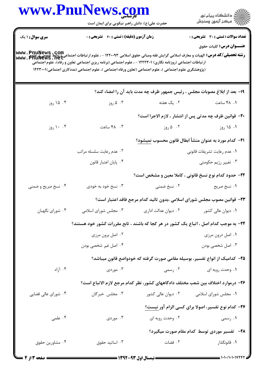|                        | www.PnuNews.com<br>حضرت علی(ع): دانش راهبر نیکویی برای ایمان است                                                                                                                                                                                                                                                                                                                                                          |                      | ر<br>دانشڪاه پيام نور)<br>ا∛ مرڪز آزمون وسنڊش                                    |
|------------------------|---------------------------------------------------------------------------------------------------------------------------------------------------------------------------------------------------------------------------------------------------------------------------------------------------------------------------------------------------------------------------------------------------------------------------|----------------------|----------------------------------------------------------------------------------|
| <b>سری سوال : ۱ یک</b> | <b>زمان آزمون (دقیقه) : تستی : 60 ٪ تشریحی : 0</b><br>رشته تحصیلی/کد درس: الهیات و معارف اسلامی گرایش فقه ومبانی حقوق اسلامی ۱۲۲۰۰۹۳ - ، علوم ارتباطات اجتماعی (روابط عمومی)<br>www . PhuNews . net<br>ارتباطات اجتماعی (روزنامه نگاری) ۱۲۲۲۳۰۱ - ، علوم اجتماعی (برنامه ریزی اجتماعی تعاون و رفاه)، علوم اجتماعی<br>(پژوهشگری علوم اجتماعی )، علوم اجتماعی (تعاون ورفاه اجتماعی )، علوم اجتماعی (مددکاری اجتماعی)۱۲۲۳۰۰۱ |                      | <b>تعداد سوالات : تستی : 30 ٪ تشریحی : 0</b><br><b>عنـــوان درس:</b> کلیات حقوق  |
|                        |                                                                                                                                                                                                                                                                                                                                                                                                                           |                      | 19- بعد از ابلاغ مصوبات مجلس ، رئيس جمهور ظرف چه مدت بايد آن را امضاء كند؟       |
| ۰۴ (روز                | ۰۳ ۵ روز                                                                                                                                                                                                                                                                                                                                                                                                                  | ۲. یک هفته           | ۰۱ ۴۸ ساعت                                                                       |
|                        |                                                                                                                                                                                                                                                                                                                                                                                                                           |                      | <b>۲۰</b> - قوانین ظرف چه مدتی پس از انتشار ، لازم الاجرا است؟                   |
| ۰. ۱۰ روز              | ۴. ۴۸ ساعت                                                                                                                                                                                                                                                                                                                                                                                                                | ۰۲ ۵ روز             | ۰۱ ۱۵ روز                                                                        |
|                        |                                                                                                                                                                                                                                                                                                                                                                                                                           |                      | <b>۲۱</b> – کدام مورد به عنوان منشأ ابطال قانون محسوب <u>نمیشود</u> ؟            |
|                        | ۰۲ عدم رعايت سلسله مراتب                                                                                                                                                                                                                                                                                                                                                                                                  |                      | ٠١ عدم رعايت تشريفات قانوني                                                      |
|                        | ۰۴ پایان اعتبار قانون                                                                                                                                                                                                                                                                                                                                                                                                     |                      | ۰۳ تغییر رژیم حکومتی                                                             |
|                        |                                                                                                                                                                                                                                                                                                                                                                                                                           |                      | ٢٢- حدود كدام نوع نسخ قانوني ، كاملا معين و مشخص است؟                            |
| ۰۴ نسخ صریح و ضمنی     | ۰۳ نسخ خود به خودی                                                                                                                                                                                                                                                                                                                                                                                                        | ۰۲ نسخ ضمنی          | ۰۱ نسخ صريح                                                                      |
|                        |                                                                                                                                                                                                                                                                                                                                                                                                                           |                      | ٢٣- قوانين مصوب مجلس شوراى اسلامى ،بدون تائيد كدام مرجع فاقد اعتبار است؟         |
| ۰۴ شورای نگهبان        | ۰۳ مجلس شورای اسلامی                                                                                                                                                                                                                                                                                                                                                                                                      | ۰۲ دیوان عدالت اداری | ٠١ ديوان عالي كشور                                                               |
|                        | ۲۴- به موجب کدام اصل ، اتباع یک کشور در هر کجا که باشند ، تابع مقررات کشور خود هستند؟                                                                                                                                                                                                                                                                                                                                     |                      |                                                                                  |
|                        | ۰۲ اصل برون مرزی                                                                                                                                                                                                                                                                                                                                                                                                          |                      | ۰۱ اصل درون مرزی                                                                 |
|                        | ۰۴ اصل غیر شخصی بودن                                                                                                                                                                                                                                                                                                                                                                                                      |                      | ۰۳ اصل شخصی بودن                                                                 |
|                        |                                                                                                                                                                                                                                                                                                                                                                                                                           |                      | ۲۵– کدامیک از انواع تفسیر، بوسیله مقامی صورت گرفته که خودواضع قانون میباشد؟      |
| ۰۴ آزاد                |                                                                                                                                                                                                                                                                                                                                                                                                                           | ۲. رسمی سه دردی . ۳  | ۰۱ وحدت رویه ای                                                                  |
|                        |                                                                                                                                                                                                                                                                                                                                                                                                                           |                      | ۲۶– درموارد اختلاف بین شعب مختلف دادگاههای کشور، نظر کدام مرجع لازم الاتباع است؟ |
| ۰۴ شورای عالی قضایی    | ۰۳ مجلس خبرگان                                                                                                                                                                                                                                                                                                                                                                                                            | ۰۲ دیوان عالی کشور   | ۰۱ مجلس شورای اسلامی                                                             |
|                        |                                                                                                                                                                                                                                                                                                                                                                                                                           |                      | <b>۲۷- کدام نوع تفسیر، اصولا برای کسی الزام آور نیست</b> ؟                       |
| ۰۴ علمی                | ۰۳ موردی                                                                                                                                                                                                                                                                                                                                                                                                                  |                      | ۰۱ رسمی مسلم است. ۲۰ وحدت رویه ای <b>۱</b>                                       |
|                        |                                                                                                                                                                                                                                                                                                                                                                                                                           |                      | ۲۸- تفسیر موردی توسط کدام مقام صورت میگیرد؟                                      |
|                        |                                                                                                                                                                                                                                                                                                                                                                                                                           |                      |                                                                                  |